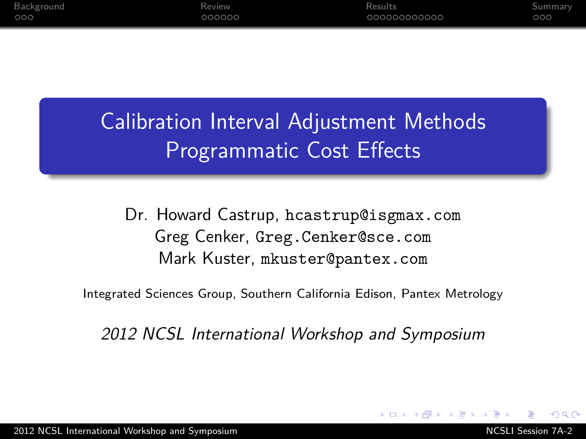Calibration Interval Adjustment Methods Programmatic Cost Effects

Dr. Howard Castrup, hcastrup@isgmax.com Greg Cenker, Greg.Cenker@sce.com Mark Kuster, mkuster@pantex.com

Integrated Sciences Group, Southern California Edison, Pantex Metrology

<span id="page-0-0"></span>2012 NCSL International Workshop and Symposium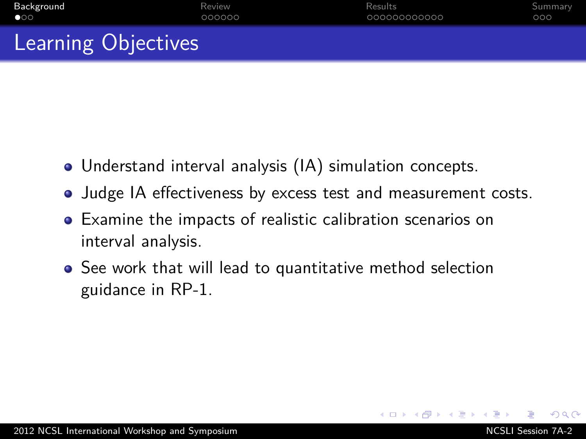| Background                 | Review | Results      | Summary |
|----------------------------|--------|--------------|---------|
| $\bullet$ 00               | 000000 | 000000000000 | 000     |
| <b>Learning Objectives</b> |        |              |         |

- Understand interval analysis (IA) simulation concepts.
- Judge IA effectiveness by excess test and measurement costs.
- Examine the impacts of realistic calibration scenarios on interval analysis.
- <span id="page-1-0"></span>See work that will lead to quantitative method selection guidance in RP-1.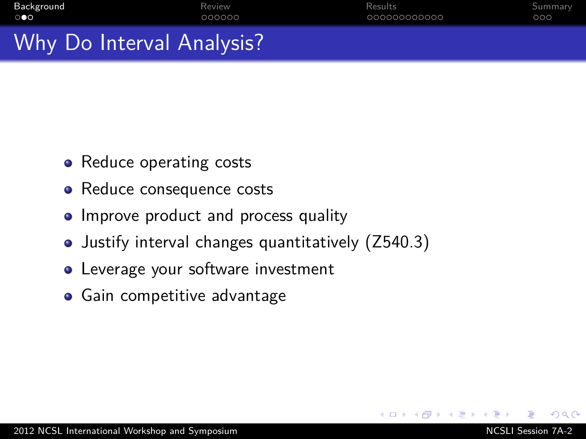| $\mathcal{M}/\mathcal{L}$ . Define the second $\mathcal{M}$ and $\mathcal{M}$ |        |              |         |
|-------------------------------------------------------------------------------|--------|--------------|---------|
| $\circ \bullet \circ$                                                         | 000000 | 000000000000 | 000     |
| Background                                                                    | Review | Results      | Summary |

Why Do Interval Analysis?

- Reduce operating costs
- Reduce consequence costs
- Improve product and process quality
- Justify interval changes quantitatively (Z540.3)
- **•** Leverage your software investment
- **•** Gain competitive advantage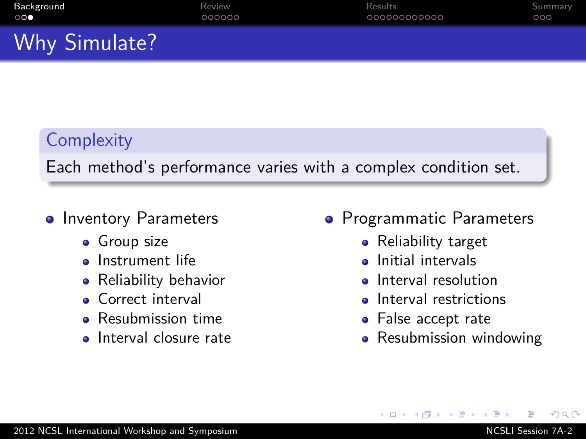## **Complexity**

Each method's performance varies with a complex condition set.

### • Inventory Parameters

- **•** Group size
- **o** Instrument life
- Reliability behavior
- Correct interval
- Resubmission time
- Interval closure rate
- Programmatic Parameters
	- Reliability target
	- Initial intervals
	- Interval resolution
	- Interval restrictions
	- False accept rate
	- Resubmission windowing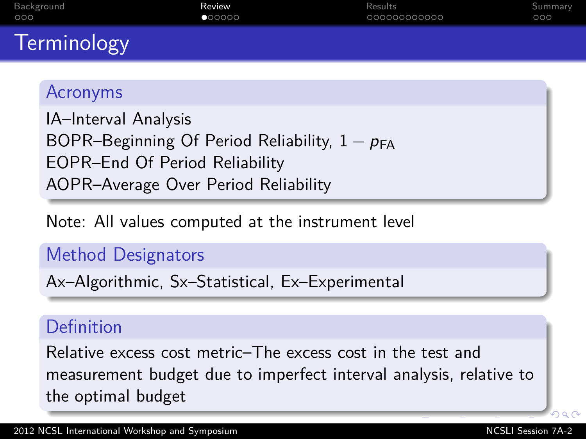| Background         | Review | Results      | Summary |
|--------------------|--------|--------------|---------|
| 000                | 000000 | 000000000000 | 000     |
| <b>Terminology</b> |        |              |         |

### Acronyms

IA–Interval Analysis BOPR–Beginning Of Period Reliability,  $1 - p_{FA}$ EOPR–End Of Period Reliability AOPR–Average Over Period Reliability

Note: All values computed at the instrument level

### Method Designators

Ax–Algorithmic, Sx–Statistical, Ex–Experimental

### Definition

<span id="page-4-0"></span>Relative excess cost metric–The excess cost in the test and measurement budget due to imperfect interval analysis, relative to the optimal budget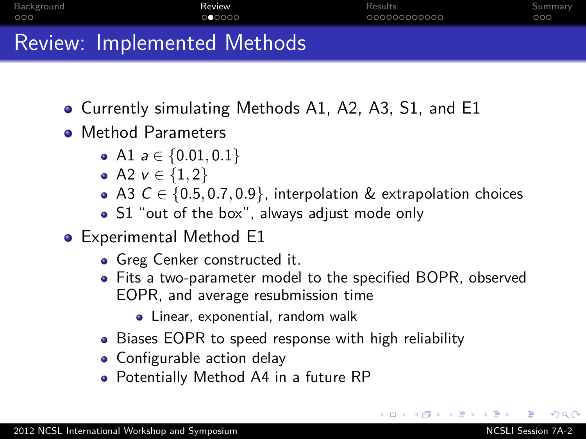| Background | Review                      | Results      | Summary |
|------------|-----------------------------|--------------|---------|
| 000        | 000000                      | 000000000000 | 000     |
|            | Review: Implemented Methods |              |         |

- Currently simulating Methods A1, A2, A3, S1, and E1
- Method Parameters
	- $\bullet$  A1 *a* ∈ {0.01, 0.1}
	- A2  $v \in \{1, 2\}$
	- A3 C ∈ {0*.*5*,* 0*.*7*,* 0*.*9}, interpolation & extrapolation choices
	- S1 "out of the box", always adjust mode only
- Experimental Method E1
	- Greg Cenker constructed it.
	- Fits a two-parameter model to the specified BOPR, observed EOPR, and average resubmission time
		- Linear, exponential, random walk
	- Biases EOPR to speed response with high reliability
	- Configurable action delay
	- Potentially Method A4 in a future RP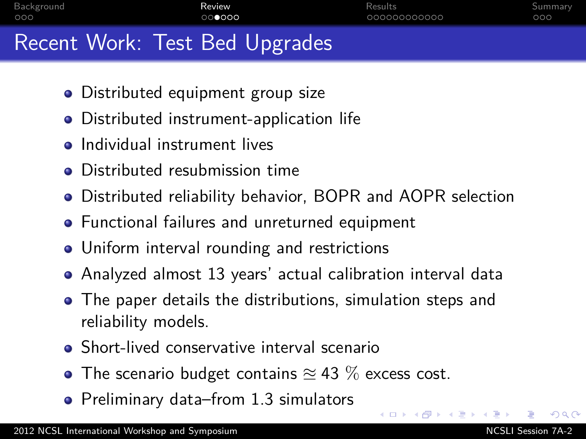| Background                     | Review | Results      | Summary |
|--------------------------------|--------|--------------|---------|
| 000                            | 000000 | 000000000000 | 000     |
| Recent Work: Test Bed Upgrades |        |              |         |

- Distributed equipment group size
- Distributed instrument-application life
- **•** Individual instrument lives
- **•** Distributed resubmission time
- Distributed reliability behavior, BOPR and AOPR selection
- **•** Functional failures and unreturned equipment
- Uniform interval rounding and restrictions
- Analyzed almost 13 years' actual calibration interval data
- The paper details the distributions, simulation steps and reliability models.
- Short-lived conservative interval scenario
- $\bullet$  The scenario budget contains  $\approx$  43 % excess cost.
- Preliminary data–from 1.3 simulators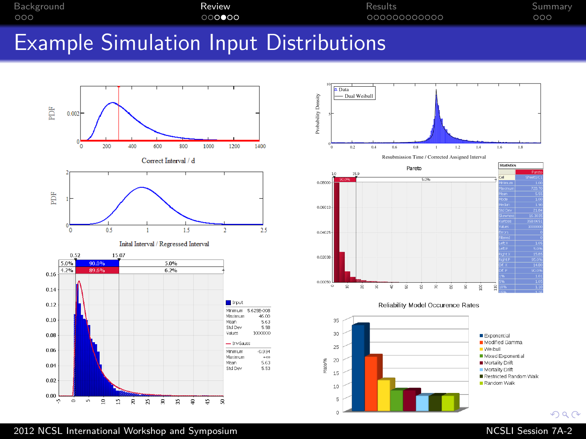| Background<br>Review<br>000000<br>000 | Results<br>000000000000 | Summary<br>000 |
|---------------------------------------|-------------------------|----------------|

### Example Simulation Input Distributions



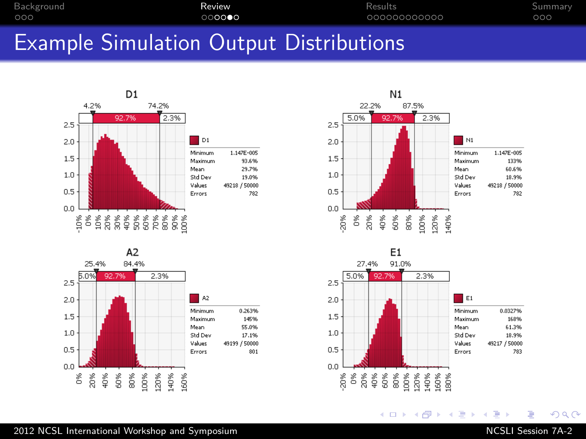| Background<br>000 |  |        | Review<br>000000 |  |  | Results<br>000000000000 | Summary<br>000 |  |  |  |
|-------------------|--|--------|------------------|--|--|-------------------------|----------------|--|--|--|
| _                 |  | $\sim$ |                  |  |  |                         | --             |  |  |  |

### Example Simulation Output Distributions









メロトメ 御 トメ 君 トメ 君 ト

# E

 $290$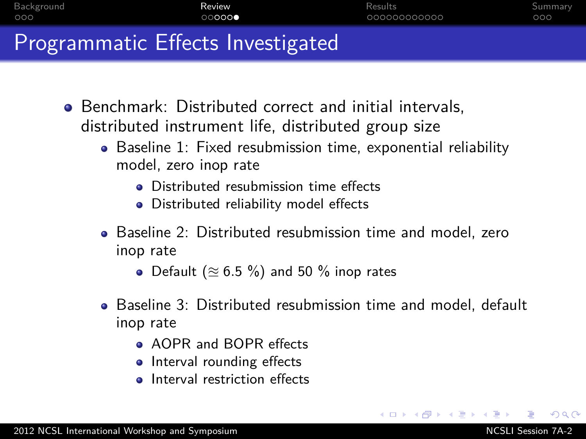| Background                        | Review | Results      | Summary |
|-----------------------------------|--------|--------------|---------|
| 000                               | 000000 | 000000000000 | 000     |
| Programmatic Effects Investigated |        |              |         |

- Benchmark: Distributed correct and initial intervals, distributed instrument life, distributed group size
	- Baseline 1: Fixed resubmission time, exponential reliability model, zero inop rate
		- **•** Distributed resubmission time effects
		- Distributed reliability model effects
	- Baseline 2: Distributed resubmission time and model, zero inop rate
		- Default  $(\approx 6.5 \%)$  and 50 % inop rates
	- Baseline 3: Distributed resubmission time and model, default inop rate
		- **AOPR and BOPR effects**
		- Interval rounding effects
		- **a** Interval restriction effects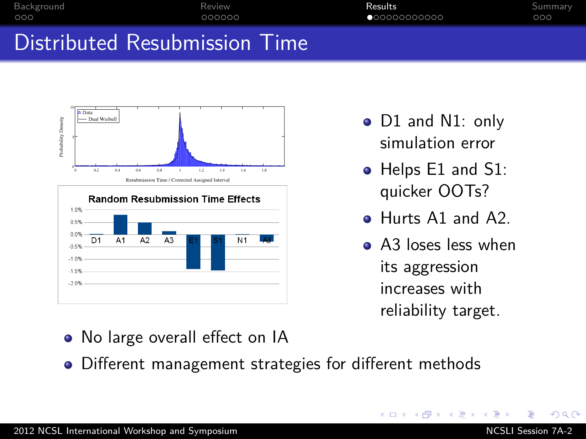| Background                    | Review | Results      | Summary |
|-------------------------------|--------|--------------|---------|
| 000                           | 000000 | 000000000000 | 000     |
| Distributed Resubmission Time |        |              |         |



- D1 and N1: only simulation error
- Helps E1 and S1: quicker OOTs?
- Hurts A1 and A2.
- A3 loses less when its aggression increases with reliability target.

<span id="page-10-0"></span>4日下

- No large overall effect on IA
- Different management strategies for different methods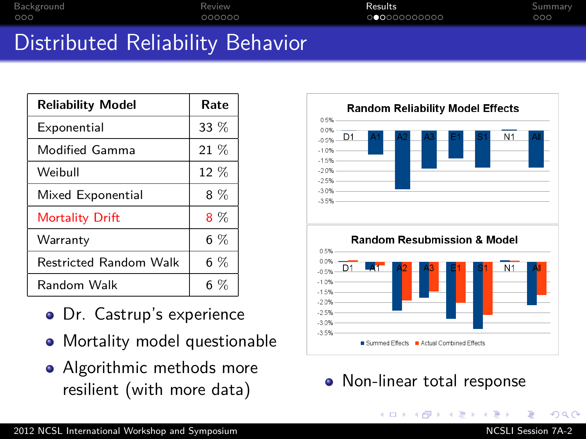| Background | Review                                                                                                                                                                                                                                         | <b>Results</b> | Summary |
|------------|------------------------------------------------------------------------------------------------------------------------------------------------------------------------------------------------------------------------------------------------|----------------|---------|
| 000        | 000000                                                                                                                                                                                                                                         | 000000000000   | 000     |
|            | <b>In the contract of the contract of the contract of the contract of the contract of the contract of the contract of the contract of the contract of the contract of the contract of the contract of the contract of the contra</b><br>$\sim$ |                |         |

## Distributed Reliability Behavior

| <b>Reliability Model</b>      | Rate   |
|-------------------------------|--------|
| Exponential                   | $33\%$ |
| Modified Gamma                | 21 %   |
| Weibull                       | 12 %   |
| Mixed Exponential             | $8\%$  |
| <b>Mortality Drift</b>        | $8\%$  |
| Warranty                      | $6\%$  |
| <b>Restricted Random Walk</b> | $6\%$  |
| Random Walk                   | 6 %    |

- **o** Dr. Castrup's experience
- Mortality model questionable
- Algorithmic methods more resilient (with more data) <br> • Non-linear total response



イロト イ母 トイヨ トイヨ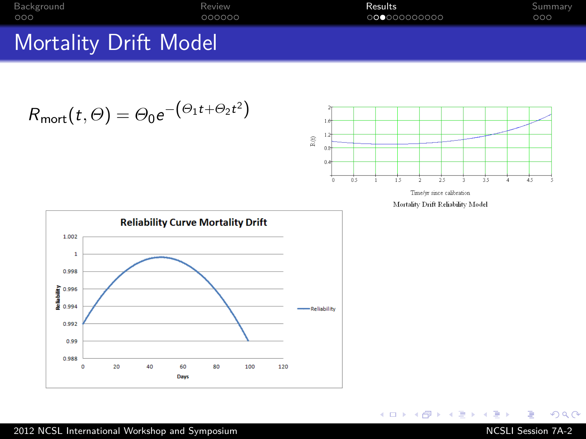| Background                   | Review | Results     | Summary |
|------------------------------|--------|-------------|---------|
| 000                          | 000000 | 00000000000 | 000     |
| <b>Mortality Drift Model</b> |        |             |         |

$$
R_{\text{mort}}(t,\Theta) = \Theta_0 e^{-\left(\Theta_1 t + \Theta_2 t^2\right)}
$$



Time/yr since calibration

Mortality Drift Reliability Model

メロトメ部 トメミトメミト



 $299$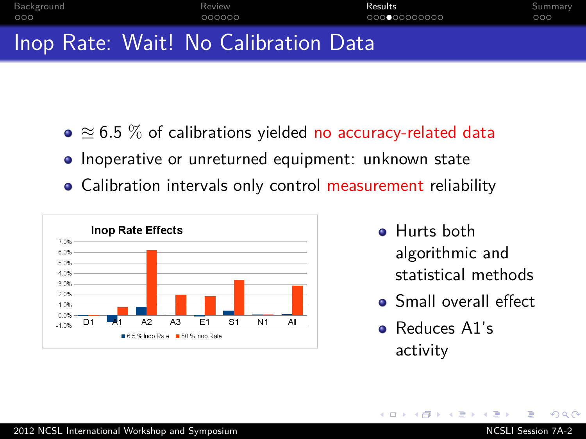| Background | Review                                                                                                                                                                                                                                                                                                                             | Results      | Summary |
|------------|------------------------------------------------------------------------------------------------------------------------------------------------------------------------------------------------------------------------------------------------------------------------------------------------------------------------------------|--------------|---------|
| 000        | 000000                                                                                                                                                                                                                                                                                                                             | 000000000000 | 000     |
|            | $\mathbf{M}$ $\mathbf{L}$ $\mathbf{L}$ $\mathbf{L}$ $\mathbf{L}$ $\mathbf{L}$ $\mathbf{L}$ $\mathbf{L}$ $\mathbf{L}$ $\mathbf{L}$ $\mathbf{L}$ $\mathbf{L}$ $\mathbf{L}$ $\mathbf{L}$ $\mathbf{L}$ $\mathbf{L}$ $\mathbf{L}$ $\mathbf{L}$ $\mathbf{L}$ $\mathbf{L}$ $\mathbf{L}$ $\mathbf{L}$ $\mathbf{L}$ $\mathbf{L}$ $\mathbf{$ |              |         |

## Inop Rate: Wait! No Calibration Data

- $\bullet \approx 6.5$  % of calibrations yielded no accuracy-related data
- Inoperative or unreturned equipment: unknown state
- Calibration intervals only control measurement reliability



- **•** Hurts both algorithmic and statistical methods
- **•** Small overall effect

モミメ

Reduces A1's activity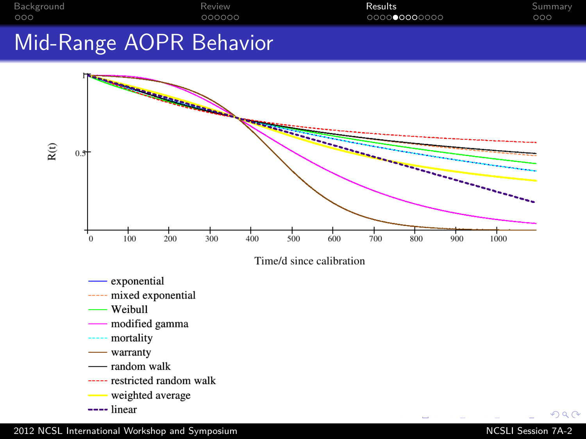| Background | Review | Results      | Summary. |
|------------|--------|--------------|----------|
| 000        | 000000 | 000000000000 | 000      |

## Mid-Range AOPR Behavior





- exponential
- ----- mixed exponential
- Weibull
- modified gamma
- ----- mortality
- warranty
- random walk
- ----- restricted random walk
- weighted average
- $---$  linear

 $QQ$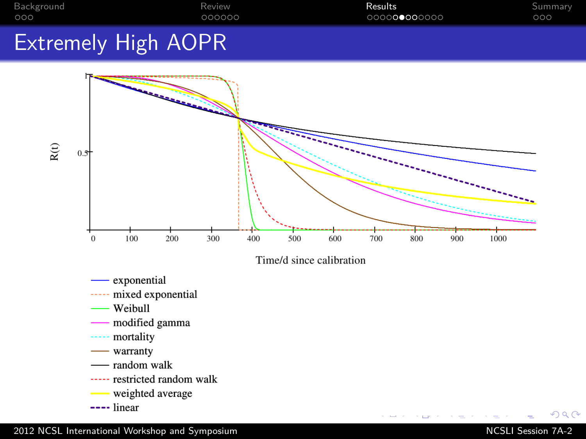





exponential

- ----- mixed exponential
- Weibull
- modified gamma
- mortality
- warranty
- random walk
- ----- restricted random walk
- weighted average
- $---$  linear

 $QQ$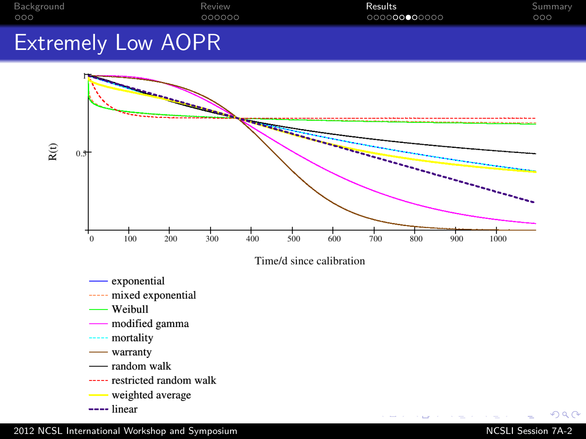| Background | Review | Results      | Summary |
|------------|--------|--------------|---------|
| 000        | 000000 | 000000000000 | 000     |
|            |        |              |         |

## Extremely Low AOPR



- mortality
- $\frac{1}{2}$  warranty
- random walk
- ----- restricted random walk
- weighted average
- $---$  linear

 $QQ$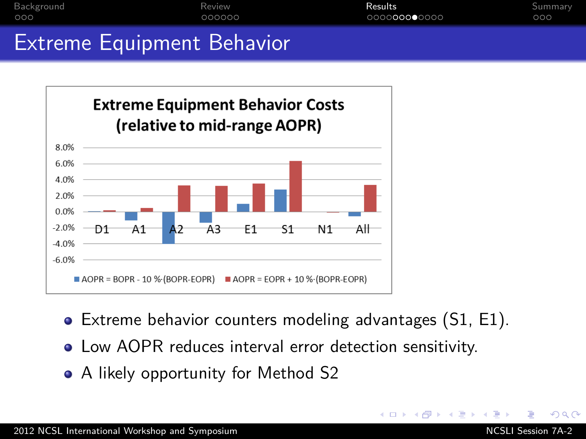| Background                        | Review | Results      | Summary |
|-----------------------------------|--------|--------------|---------|
| 000                               | 000000 | 000000000000 | 000     |
| <b>Extreme Equipment Behavior</b> |        |              |         |



- Extreme behavior counters modeling advantages (S1, E1).
- Low AOPR reduces interval error detection sensitivity.
- A likely opportunity for Method S2

つくい

イロト イ伊ト イヨト イヨ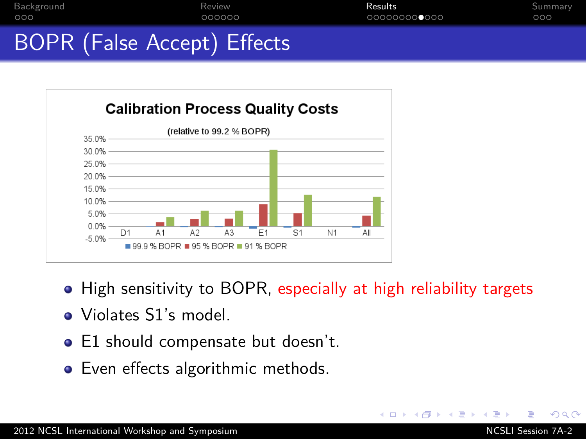| Background |                             | Review | Results      | Summary |
|------------|-----------------------------|--------|--------------|---------|
| 000        |                             | 000000 | 000000000000 | 000     |
|            | BOPR (False Accept) Effects |        |              |         |



• High sensitivity to BOPR, especially at high reliability targets

4 17 18

- Violates S1's model.
- E1 should compensate but doesn't.
- Even effects algorithmic methods.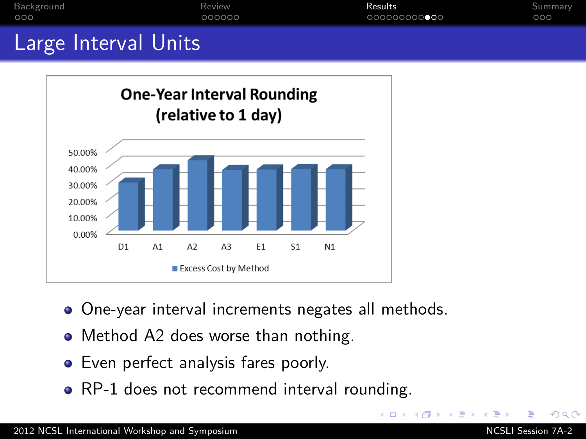

- One-year interval increments negates all methods.
- Method A2 does worse than nothing.
- **•** Even perfect analysis fares poorly.
- RP-1 does not recommend interval rounding.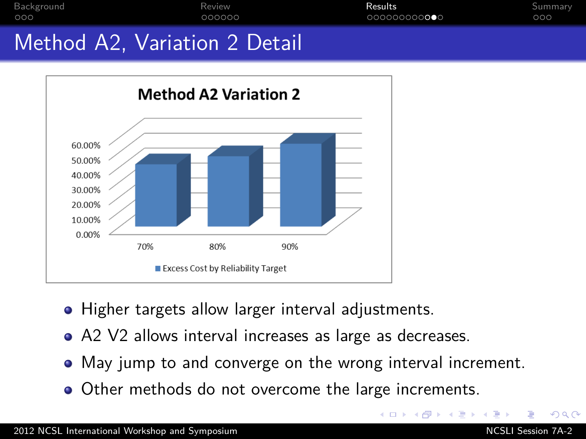

• Higher targets allow larger interval adjustments.

80%

Excess Cost by Reliability Target

- A2 V2 allows interval increases as large as decreases.
- May jump to and converge on the wrong interval increment.

90%

• Other methods do not overcome the large increments.

70%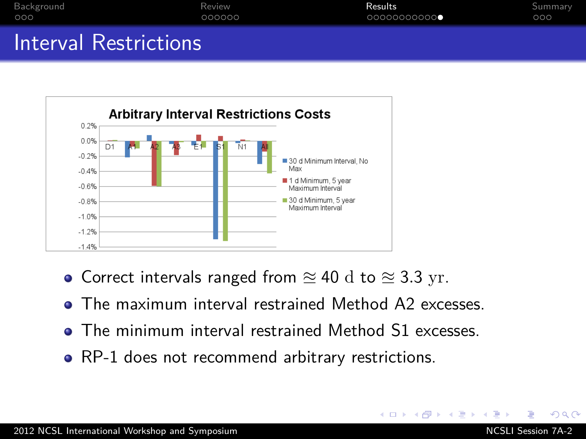| Background            | Review | Results        | Summary |
|-----------------------|--------|----------------|---------|
| 000                   | 000000 | $000000000000$ | 000     |
| Interval Restrictions |        |                |         |



- Correct intervals ranged from  $\approx 40$  d to  $\approx 3.3$  yr.
- The maximum interval restrained Method A2 excesses.
- **The minimum interval restrained Method S1 excesses.**
- RP-1 does not recommend arbitrary restrictions.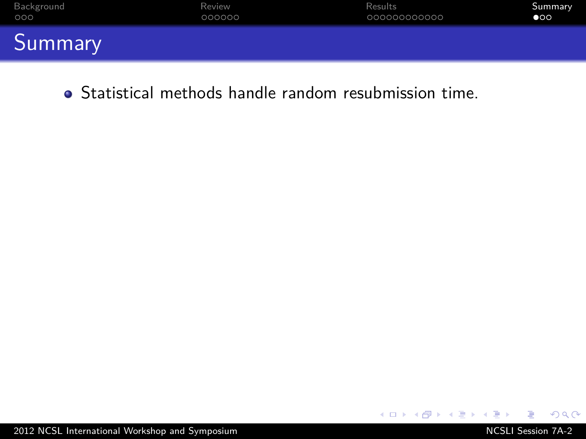| Background               | Review | Results      | Summary      |
|--------------------------|--------|--------------|--------------|
| 000                      | 000000 | 000000000000 | $\bullet$ 00 |
| $\sim$<br><b>Summary</b> |        |              |              |

Statistical methods handle random resubmission time.

<span id="page-22-0"></span> $2Q$ 

メロトメ 御 トメ 君 トメ 君 ト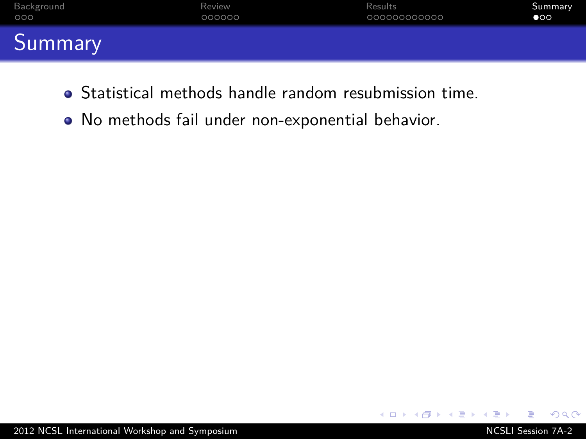| Background     | Review | Results      | Summary      |
|----------------|--------|--------------|--------------|
| 000            | 000000 | 000000000000 | $\bullet$ 00 |
| <b>Summary</b> |        |              |              |

- Statistical methods handle random resubmission time.
- No methods fail under non-exponential behavior.

 $QQ$ 

 $\leftarrow$   $\Box$   $\rightarrow$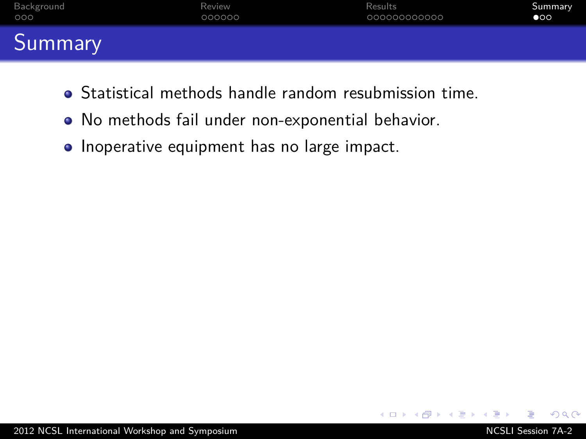| Background               | Review | Results      | Summary      |
|--------------------------|--------|--------------|--------------|
| 000                      | 000000 | 000000000000 | $\bullet$ 00 |
| $\sim$<br><b>Summary</b> |        |              |              |

- Statistical methods handle random resubmission time.
- No methods fail under non-exponential behavior.
- Inoperative equipment has no large impact.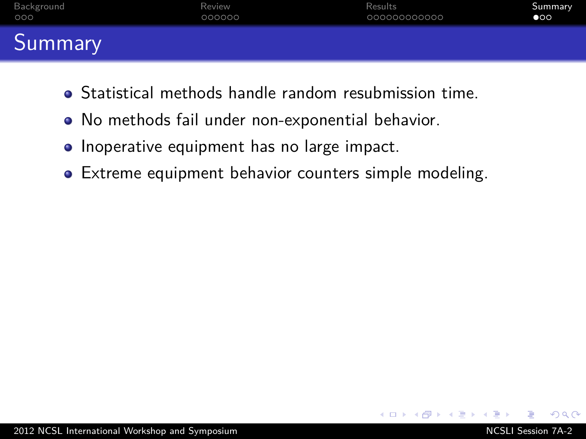| Background                  | Review | Results      | Summary      |
|-----------------------------|--------|--------------|--------------|
| 000                         | 000000 | 000000000000 | $\bullet$ 00 |
| <b>TO</b><br><b>Summary</b> |        |              |              |

- Statistical methods handle random resubmission time.
- No methods fail under non-exponential behavior.
- Inoperative equipment has no large impact.
- **•** Extreme equipment behavior counters simple modeling.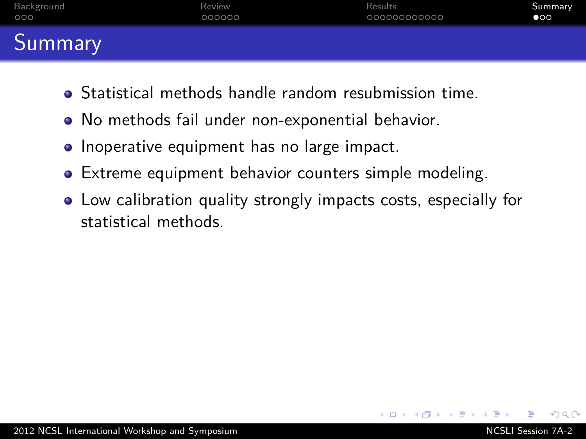| Background | Review | Results      | Summary      |
|------------|--------|--------------|--------------|
| 000        | 000000 | 000000000000 | $\bullet$ 00 |
| Summary    |        |              |              |

- Statistical methods handle random resubmission time.
- No methods fail under non-exponential behavior.
- Inoperative equipment has no large impact.
- **•** Extreme equipment behavior counters simple modeling.
- Low calibration quality strongly impacts costs, especially for statistical methods.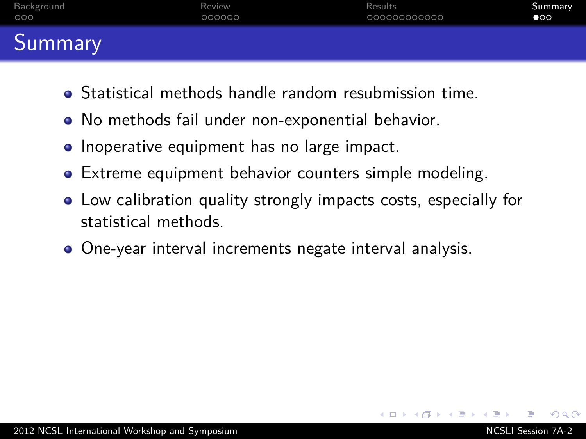| Background | Review | Results      | Summary      |
|------------|--------|--------------|--------------|
| 000        | 000000 | 000000000000 | $\bullet$ 00 |
| Summary    |        |              |              |

- Statistical methods handle random resubmission time.
- No methods fail under non-exponential behavior.
- Inoperative equipment has no large impact.
- **•** Extreme equipment behavior counters simple modeling.
- Low calibration quality strongly impacts costs, especially for statistical methods.
- One-year interval increments negate interval analysis.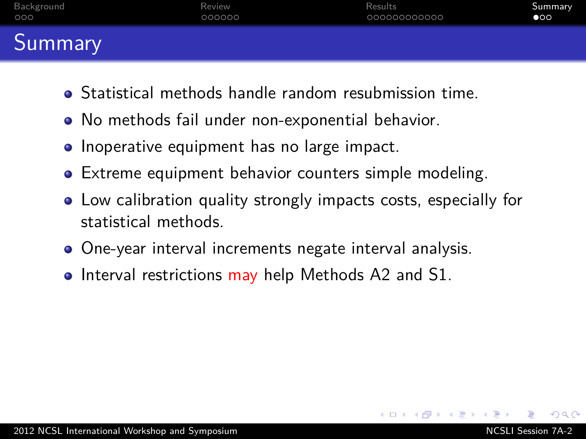| Background | Review | Results      | Summary      |
|------------|--------|--------------|--------------|
| 000        | 000000 | 000000000000 | $\bullet$ 00 |
| Summary    |        |              |              |

- Statistical methods handle random resubmission time.
- No methods fail under non-exponential behavior.
- Inoperative equipment has no large impact.
- **•** Extreme equipment behavior counters simple modeling.
- Low calibration quality strongly impacts costs, especially for statistical methods.
- One-year interval increments negate interval analysis.
- $\bullet$  Interval restrictions may help Methods A2 and S1.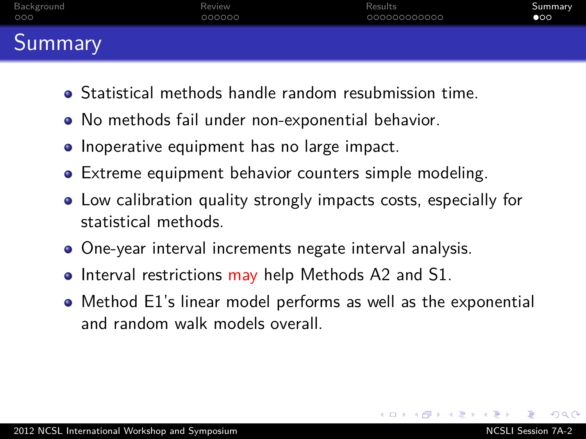| Background | Review | Results      | Summary      |
|------------|--------|--------------|--------------|
| 000        | 000000 | 000000000000 | $\bullet$ 00 |
| Summary    |        |              |              |

- Statistical methods handle random resubmission time.
- No methods fail under non-exponential behavior.
- Inoperative equipment has no large impact.
- **•** Extreme equipment behavior counters simple modeling.
- Low calibration quality strongly impacts costs, especially for statistical methods.
- One-year interval increments negate interval analysis.
- $\bullet$  Interval restrictions may help Methods A2 and S1.
- Method E1's linear model performs as well as the exponential and random walk models overall.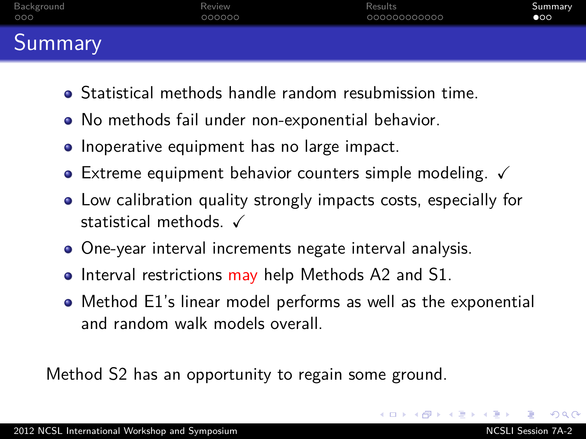| Background | Review | Results      | Summary      |
|------------|--------|--------------|--------------|
| 000        | 000000 | 000000000000 | $\bullet$ 00 |
| Summary    |        |              |              |

- Statistical methods handle random resubmission time.
- No methods fail under non-exponential behavior.
- Inoperative equipment has no large impact.
- $\bullet$  Extreme equipment behavior counters simple modeling.  $\checkmark$
- Low calibration quality strongly impacts costs, especially for statistical methods.  $\checkmark$
- One-year interval increments negate interval analysis.
- $\bullet$  Interval restrictions may help Methods A2 and S1.
- Method E1's linear model performs as well as the exponential and random walk models overall.

Method S2 has an opportunity to regain some ground.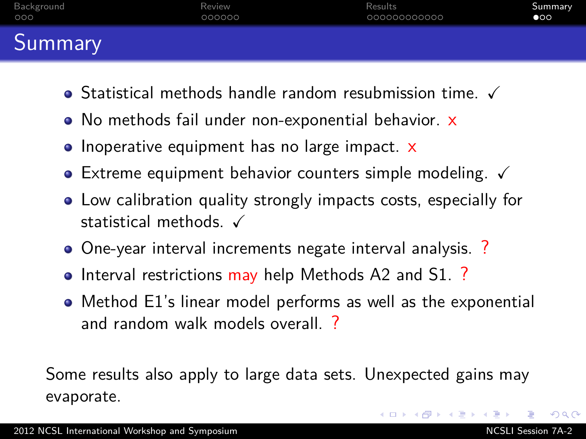| Background | Review | Results      | Summary      |
|------------|--------|--------------|--------------|
| 000        | 000000 | 000000000000 | $\bullet$ 00 |
| Summary    |        |              |              |

- $\bullet$  Statistical methods handle random resubmission time.  $\checkmark$
- No methods fail under non-exponential behavior. x
- Inoperative equipment has no large impact. x
- $\bullet$  Extreme equipment behavior counters simple modeling.  $\checkmark$
- Low calibration quality strongly impacts costs, especially for statistical methods.  $\checkmark$
- One-year interval increments negate interval analysis. ?
- Interval restrictions may help Methods A2 and S1.?
- Method E1's linear model performs as well as the exponential and random walk models overall. ?

Some results also apply to large data sets. Unexpected gains may evaporate.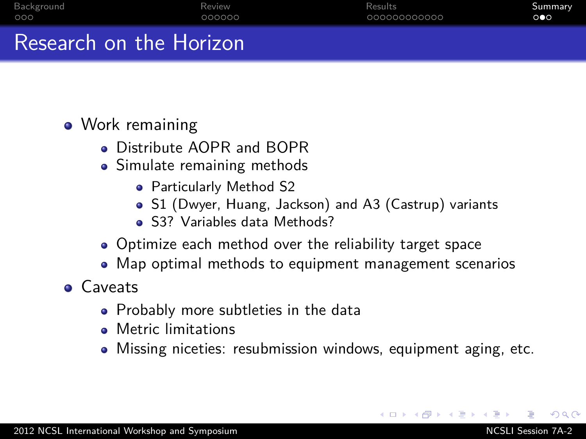| Background              | Review | Results      | Summary |
|-------------------------|--------|--------------|---------|
| 000                     | 000000 | 000000000000 | 000     |
| Research on the Horizon |        |              |         |

### • Work remaining

- **.** Distribute AOPR and BOPR
- Simulate remaining methods
	- Particularly Method S2
	- S1 (Dwyer, Huang, Jackson) and A3 (Castrup) variants
	- S3? Variables data Methods?
- Optimize each method over the reliability target space
- Map optimal methods to equipment management scenarios
- **Caveats** 
	- Probably more subtleties in the data
	- **Metric limitations**
	- Missing niceties: resubmission windows, equipment aging, etc.